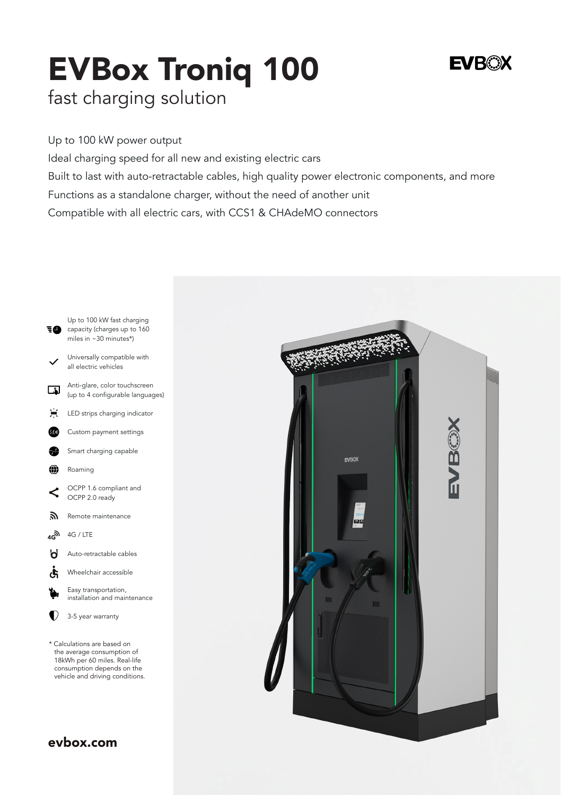# EVBox Troniq 100

## **EVROX**

fast charging solution

Up to 100 kW power output Ideal charging speed for all new and existing electric cars Built to last with auto-retractable cables, high quality power electronic components, and more Functions as a standalone charger, without the need of another unit Compatible with all electric cars, with CCS1 & CHAdeMO connectors



[evbox.com](https://evbox.com/us-en/)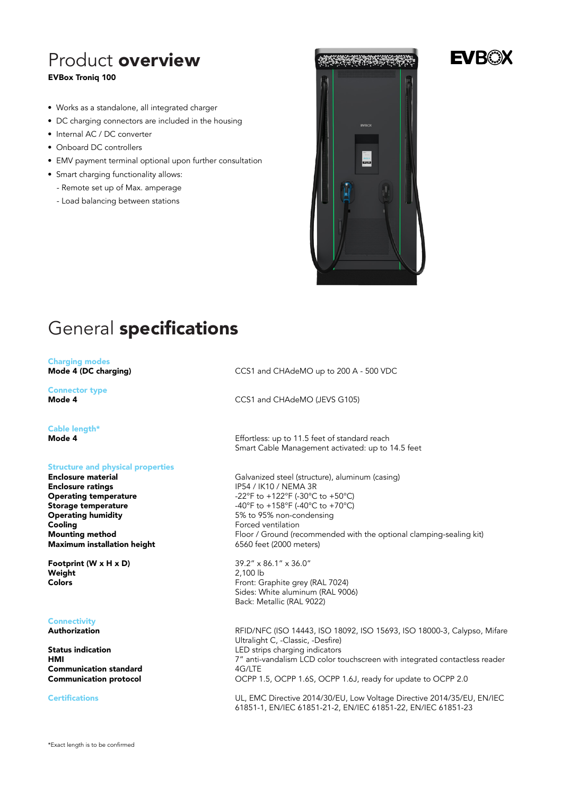## Product overview EVBox Troniq 100

- Works as a standalone, all integrated charger
- DC charging connectors are included in the housing
- Internal AC / DC converter
- Onboard DC controllers
- EMV payment terminal optional upon further consultation
- Smart charging functionality allows:
	- Remote set up of Max. amperage
	- Load balancing between stations



# General specifications

#### Charging modes Mode 4 (DC charging)

Connector type Mode 4

#### Cable length\*

Mode 4

#### Structure and physical properties

Enclosure material Enclosure ratings Operating temperature Storage temperature Operating humidity Cooling Mounting method Maximum installation height

Footprint (W x H x D) Weight Colors

#### **Connectivity**

Authorization

Status indication HMI Communication standard Communication protocol

#### Certifications

CCS1 and CHAdeMO up to 200 A - 500 VDC

CCS1 and CHAdeMO (JEVS G105)

Effortless: up to 11.5 feet of standard reach Smart Cable Management activated: up to 14.5 feet

Galvanized steel (structure), aluminum (casing) IP54 / IK10 / NEMA 3R -22°F to +122°F (-30°C to +50°C) -40°F to +158°F (-40°C to +70°C) 5% to 95% non-condensing Forced ventilation Floor / Ground (recommended with the optional clamping-sealing kit) 6560 feet (2000 meters)

39.2" x 86.1" x 36.0" 2,100 lb Front: Graphite grey (RAL 7024) Sides: White aluminum (RAL 9006) Back: Metallic (RAL 9022)

RFID/NFC (ISO 14443, ISO 18092, ISO 15693, ISO 18000-3, Calypso, Mifare Ultralight C, -Classic, -Desfire) LED strips charging indicators 7" anti-vandalism LCD color touchscreen with integrated contactless reader 4G/LTE OCPP 1.5, OCPP 1.6S, OCPP 1.6J, ready for update to OCPP 2.0

UL, EMC Directive 2014/30/EU, Low Voltage Directive 2014/35/EU, EN/IEC 61851-1, EN/IEC 61851-21-2, EN/IEC 61851-22, EN/IEC 61851-23